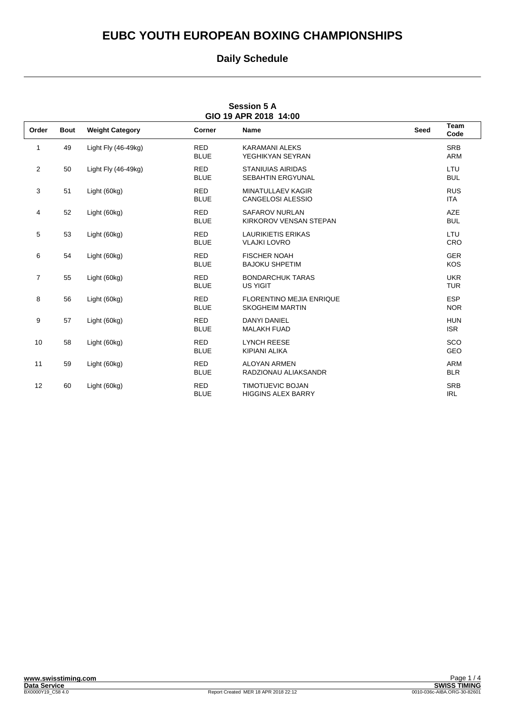### **Daily Schedule**

| <b>Session 5 A</b><br>GIO 19 APR 2018 14:00 |             |                        |                           |                                                           |             |                          |
|---------------------------------------------|-------------|------------------------|---------------------------|-----------------------------------------------------------|-------------|--------------------------|
| Order                                       | <b>Bout</b> | <b>Weight Category</b> | Corner                    | <b>Name</b>                                               | <b>Seed</b> | <b>Team</b><br>Code      |
| 1                                           | 49          | Light Fly $(46-49kg)$  | <b>RED</b><br><b>BLUE</b> | <b>KARAMANI ALEKS</b><br>YEGHIKYAN SEYRAN                 |             | <b>SRB</b><br><b>ARM</b> |
| 2                                           | 50          | Light Fly $(46-49kq)$  | <b>RED</b><br><b>BLUE</b> | <b>STANIUIAS AIRIDAS</b><br><b>SEBAHTIN ERGYUNAL</b>      |             | LTU<br><b>BUL</b>        |
| 3                                           | 51          | Light (60kg)           | <b>RED</b><br><b>BLUE</b> | <b>MINATULLAEV KAGIR</b><br><b>CANGELOSI ALESSIO</b>      |             | <b>RUS</b><br><b>ITA</b> |
| 4                                           | 52          | Light (60kg)           | <b>RED</b><br><b>BLUE</b> | <b>SAFAROV NURLAN</b><br>KIRKOROV VENSAN STEPAN           |             | AZE<br><b>BUL</b>        |
| 5                                           | 53          | Light (60kg)           | <b>RED</b><br><b>BLUE</b> | <b>LAURIKIETIS ERIKAS</b><br><b>VLAJKI LOVRO</b>          |             | LTU<br><b>CRO</b>        |
| 6                                           | 54          | Light (60kg)           | <b>RED</b><br><b>BLUE</b> | <b>FISCHER NOAH</b><br><b>BAJOKU SHPETIM</b>              |             | <b>GER</b><br><b>KOS</b> |
| $\overline{7}$                              | 55          | Light (60kg)           | <b>RED</b><br><b>BLUE</b> | <b>BONDARCHUK TARAS</b><br><b>US YIGIT</b>                |             | <b>UKR</b><br><b>TUR</b> |
| 8                                           | 56          | Light (60kg)           | <b>RED</b><br><b>BLUE</b> | <b>FLORENTINO MEJIA ENRIQUE</b><br><b>SKOGHEIM MARTIN</b> |             | <b>ESP</b><br><b>NOR</b> |
| 9                                           | 57          | Light (60kg)           | <b>RED</b><br><b>BLUE</b> | <b>DANYI DANIEL</b><br><b>MALAKH FUAD</b>                 |             | <b>HUN</b><br><b>ISR</b> |
| 10                                          | 58          | Light (60kg)           | <b>RED</b><br><b>BLUE</b> | <b>LYNCH REESE</b><br><b>KIPIANI ALIKA</b>                |             | SCO<br>GEO               |
| 11                                          | 59          | Light (60kg)           | <b>RED</b><br><b>BLUE</b> | <b>ALOYAN ARMEN</b><br>RADZIONAU ALIAKSANDR               |             | <b>ARM</b><br><b>BLR</b> |
| 12                                          | 60          | Light (60kg)           | <b>RED</b><br><b>BLUE</b> | <b>TIMOTIJEVIC BOJAN</b><br><b>HIGGINS ALEX BARRY</b>     |             | <b>SRB</b><br><b>IRL</b> |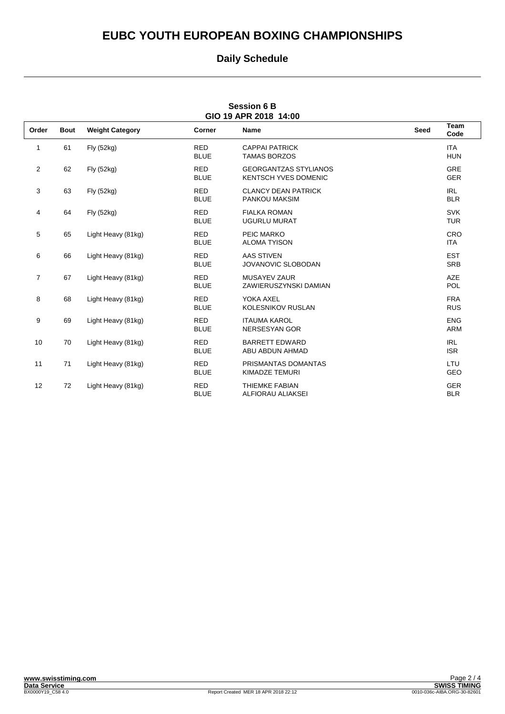### **Daily Schedule**

| <b>Session 6 B</b><br>GIO 19 APR 2018 14:00 |             |                        |                           |                                                             |             |                          |
|---------------------------------------------|-------------|------------------------|---------------------------|-------------------------------------------------------------|-------------|--------------------------|
| Order                                       | <b>Bout</b> | <b>Weight Category</b> | Corner                    | Name                                                        | <b>Seed</b> | <b>Team</b><br>Code      |
| 1                                           | 61          | Fly (52kg)             | <b>RED</b><br><b>BLUE</b> | <b>CAPPAI PATRICK</b><br><b>TAMAS BORZOS</b>                |             | <b>ITA</b><br><b>HUN</b> |
| $\overline{2}$                              | 62          | Fly (52kg)             | <b>RED</b><br><b>BLUE</b> | <b>GEORGANTZAS STYLIANOS</b><br><b>KENTSCH YVES DOMENIC</b> |             | <b>GRE</b><br><b>GER</b> |
| 3                                           | 63          | Fly (52kg)             | <b>RED</b><br><b>BLUE</b> | <b>CLANCY DEAN PATRICK</b><br>PANKOU MAKSIM                 |             | <b>IRL</b><br><b>BLR</b> |
| 4                                           | 64          | Fly (52kg)             | <b>RED</b><br><b>BLUE</b> | <b>FIALKA ROMAN</b><br><b>UGURLU MURAT</b>                  |             | <b>SVK</b><br><b>TUR</b> |
| 5                                           | 65          | Light Heavy (81kg)     | <b>RED</b><br><b>BLUE</b> | PEIC MARKO<br><b>ALOMA TYISON</b>                           |             | CRO<br><b>ITA</b>        |
| 6                                           | 66          | Light Heavy (81kg)     | <b>RED</b><br><b>BLUE</b> | <b>AAS STIVEN</b><br><b>JOVANOVIC SLOBODAN</b>              |             | <b>EST</b><br><b>SRB</b> |
| $\overline{7}$                              | 67          | Light Heavy (81kg)     | <b>RED</b><br><b>BLUE</b> | <b>MUSAYEV ZAUR</b><br>ZAWIERUSZYNSKI DAMIAN                |             | <b>AZE</b><br><b>POL</b> |
| 8                                           | 68          | Light Heavy (81kg)     | <b>RED</b><br><b>BLUE</b> | YOKA AXEL<br><b>KOLESNIKOV RUSLAN</b>                       |             | <b>FRA</b><br><b>RUS</b> |
| 9                                           | 69          | Light Heavy (81kg)     | <b>RED</b><br><b>BLUE</b> | <b>ITAUMA KAROL</b><br><b>NERSESYAN GOR</b>                 |             | <b>ENG</b><br><b>ARM</b> |
| 10                                          | 70          | Light Heavy (81kg)     | <b>RED</b><br><b>BLUE</b> | <b>BARRETT EDWARD</b><br>ABU ABDUN AHMAD                    |             | <b>IRL</b><br><b>ISR</b> |
| 11                                          | 71          | Light Heavy (81kg)     | <b>RED</b><br><b>BLUE</b> | PRISMANTAS DOMANTAS<br><b>KIMADZE TEMURI</b>                |             | LTU<br><b>GEO</b>        |
| 12                                          | 72          | Light Heavy (81kg)     | <b>RED</b><br><b>BLUE</b> | <b>THIEMKE FABIAN</b><br>ALFIORAU ALIAKSEI                  |             | <b>GER</b><br><b>BLR</b> |

# **Session 6 B**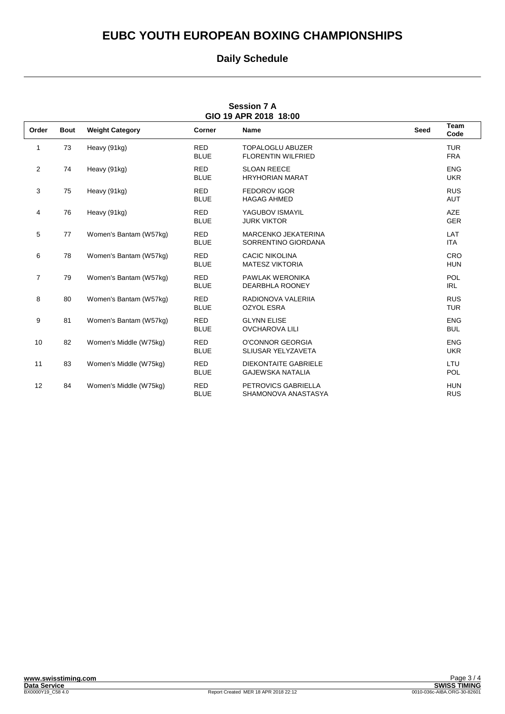### **Daily Schedule**

| <b>Session 7 A</b><br>GIO 19 APR 2018 18:00 |             |                        |                           |                                                        |             |                          |
|---------------------------------------------|-------------|------------------------|---------------------------|--------------------------------------------------------|-------------|--------------------------|
| Order                                       | <b>Bout</b> | <b>Weight Category</b> | Corner                    | <b>Name</b>                                            | <b>Seed</b> | Team<br>Code             |
| 1                                           | 73          | Heavy (91kg)           | <b>RED</b><br><b>BLUE</b> | <b>TOPALOGLU ABUZER</b><br><b>FLORENTIN WILFRIED</b>   |             | <b>TUR</b><br><b>FRA</b> |
| 2                                           | 74          | Heavy (91kg)           | <b>RED</b><br><b>BLUE</b> | <b>SLOAN REECE</b><br><b>HRYHORIAN MARAT</b>           |             | <b>ENG</b><br><b>UKR</b> |
| 3                                           | 75          | Heavy (91kg)           | <b>RED</b><br><b>BLUE</b> | <b>FEDOROV IGOR</b><br><b>HAGAG AHMED</b>              |             | <b>RUS</b><br><b>AUT</b> |
| 4                                           | 76          | Heavy (91kg)           | <b>RED</b><br><b>BLUE</b> | YAGUBOV ISMAYIL<br><b>JURK VIKTOR</b>                  |             | <b>AZE</b><br><b>GER</b> |
| 5                                           | 77          | Women's Bantam (W57kg) | <b>RED</b><br><b>BLUE</b> | <b>MARCENKO JEKATERINA</b><br>SORRENTINO GIORDANA      |             | LAT<br><b>ITA</b>        |
| 6                                           | 78          | Women's Bantam (W57kg) | <b>RED</b><br><b>BLUE</b> | <b>CACIC NIKOLINA</b><br><b>MATESZ VIKTORIA</b>        |             | <b>CRO</b><br><b>HUN</b> |
| 7                                           | 79          | Women's Bantam (W57kg) | <b>RED</b><br><b>BLUE</b> | PAWLAK WERONIKA<br><b>DEARBHLA ROONEY</b>              |             | POL<br><b>IRL</b>        |
| 8                                           | 80          | Women's Bantam (W57kg) | <b>RED</b><br><b>BLUE</b> | RADIONOVA VALERIIA<br><b>OZYOL ESRA</b>                |             | <b>RUS</b><br><b>TUR</b> |
| 9                                           | 81          | Women's Bantam (W57kg) | <b>RED</b><br><b>BLUE</b> | <b>GLYNN ELISE</b><br><b>OVCHAROVA LILI</b>            |             | <b>ENG</b><br><b>BUL</b> |
| 10                                          | 82          | Women's Middle (W75kg) | <b>RED</b><br><b>BLUE</b> | O'CONNOR GEORGIA<br>SLIUSAR YELYZAVETA                 |             | <b>ENG</b><br><b>UKR</b> |
| 11                                          | 83          | Women's Middle (W75kg) | <b>RED</b><br><b>BLUE</b> | <b>DIEKONTAITE GABRIELE</b><br><b>GAJEWSKA NATALIA</b> |             | LTU<br><b>POL</b>        |
| 12                                          | 84          | Women's Middle (W75kg) | <b>RED</b><br><b>BLUE</b> | PETROVICS GABRIELLA<br>SHAMONOVA ANASTASYA             |             | <b>HUN</b><br><b>RUS</b> |